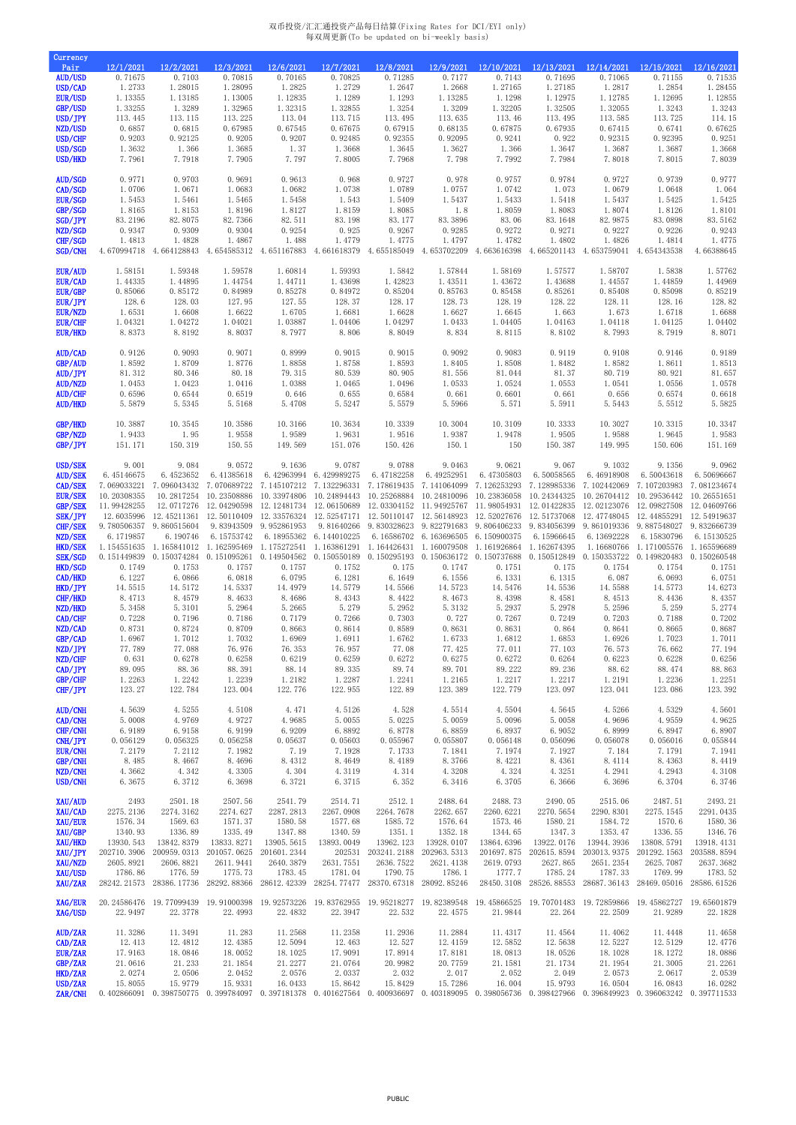## 双币投资/汇汇通投资产品每日结算(Fixing Rates for DCI/EYI only) 每双周更新(To be updated on bi-weekly basis)

| Currency<br>Pair<br><b>AUD/USD</b><br>USD/CAD<br><b>EUR/USD</b><br>GBP/USD<br>USD/JPY<br>NZD/USD<br>USD/CHF<br>USD/SGD<br>USD/HKD                                                                                                                                                            | 12/1/2021<br>0.71675<br>1.2733<br>1.13355<br>1.33255<br>113.445<br>0.6857<br>0.9203<br>1.3632<br>7.7961                                                                                                                                                                    | 12/2/2021<br>0.7103<br>1.28015<br>1.13185<br>1.3289<br>113.115<br>0.6815<br>0.92125<br>1.366<br>7.7918                                                                                                                                                     | 12/3/2021<br>0.70815<br>1.28095<br>1.13005<br>1.32965<br>113.225<br>0.67985<br>0.9205<br>1.3685<br>7.7905                                                                                                                                                                                 | 12/6/2021<br>0.70165<br>1.2825<br>1.12835<br>1.32315<br>113.04<br>0.67545<br>0.9207<br>1.37<br>7.797                                                                                                  | 12/7/2021<br>0.70825<br>1.2729<br>1.1289<br>1.32855<br>113.715<br>0.67675<br>0.92485<br>1.3668<br>7.8005                                                                                                                                                                                                                                                                                     | 12/8/2021<br>0.71285<br>1.2647<br>1.1293<br>1.3254<br>113.495<br>0.67915<br>0.92355<br>1.3645<br>7.7968                                                                                                                        | 12/9/2021<br>0.7177<br>1.2668<br>1.13285<br>1.3209<br>113.635<br>0.68135<br>0.92095<br>1.3627<br>7.798                                                                                                                                                                                               | 12/10/2021<br>0.7143<br>1.27165<br>1.1298<br>1.32205<br>113.46<br>0.67875<br>0.9241<br>1.366<br>7.7992                                                                                                                              | 12/13/2021<br>0.71695<br>1.27185<br>1.12975<br>1.32505<br>113.495<br>0.67935<br>0.922<br>1.3647<br>7.7984                                                                                                                                                                    | 12/14/2021<br>0.71065<br>1.2817<br>1.12785<br>1.32055<br>113.585<br>0.67415<br>0.92315<br>1.3687<br>7.8018                                                                                                                                                                   | 12/15/2021<br>0.71155<br>1.2854<br>1.12695<br>1.3243<br>113.725<br>0.6741<br>0.92395<br>1.3687<br>7.8015                                                                                                                                                         | 12/16/2021<br>0.71535<br>1.28455<br>1.12855<br>1.3243<br>114.15<br>0.67625<br>0.9251<br>1.3668<br>7.8039                                                                                                                                                                                   |
|----------------------------------------------------------------------------------------------------------------------------------------------------------------------------------------------------------------------------------------------------------------------------------------------|----------------------------------------------------------------------------------------------------------------------------------------------------------------------------------------------------------------------------------------------------------------------------|------------------------------------------------------------------------------------------------------------------------------------------------------------------------------------------------------------------------------------------------------------|-------------------------------------------------------------------------------------------------------------------------------------------------------------------------------------------------------------------------------------------------------------------------------------------|-------------------------------------------------------------------------------------------------------------------------------------------------------------------------------------------------------|----------------------------------------------------------------------------------------------------------------------------------------------------------------------------------------------------------------------------------------------------------------------------------------------------------------------------------------------------------------------------------------------|--------------------------------------------------------------------------------------------------------------------------------------------------------------------------------------------------------------------------------|------------------------------------------------------------------------------------------------------------------------------------------------------------------------------------------------------------------------------------------------------------------------------------------------------|-------------------------------------------------------------------------------------------------------------------------------------------------------------------------------------------------------------------------------------|------------------------------------------------------------------------------------------------------------------------------------------------------------------------------------------------------------------------------------------------------------------------------|------------------------------------------------------------------------------------------------------------------------------------------------------------------------------------------------------------------------------------------------------------------------------|------------------------------------------------------------------------------------------------------------------------------------------------------------------------------------------------------------------------------------------------------------------|--------------------------------------------------------------------------------------------------------------------------------------------------------------------------------------------------------------------------------------------------------------------------------------------|
| <b>AUD/SGD</b>                                                                                                                                                                                                                                                                               | 0.9771                                                                                                                                                                                                                                                                     | 0.9703                                                                                                                                                                                                                                                     | 0.9691                                                                                                                                                                                                                                                                                    | 0.9613                                                                                                                                                                                                | 0.968                                                                                                                                                                                                                                                                                                                                                                                        | 0.9727                                                                                                                                                                                                                         | 0.978                                                                                                                                                                                                                                                                                                | 0.9757                                                                                                                                                                                                                              | 0.9784                                                                                                                                                                                                                                                                       | 0.9727                                                                                                                                                                                                                                                                       | 0.9739                                                                                                                                                                                                                                                           | 0.9777                                                                                                                                                                                                                                                                                     |
| CAD/SGD                                                                                                                                                                                                                                                                                      | 1.0706                                                                                                                                                                                                                                                                     | 1.0671                                                                                                                                                                                                                                                     | 1.0683                                                                                                                                                                                                                                                                                    | 1.0682                                                                                                                                                                                                | 1.0738                                                                                                                                                                                                                                                                                                                                                                                       | 1.0789                                                                                                                                                                                                                         | 1.0757                                                                                                                                                                                                                                                                                               | 1.0742                                                                                                                                                                                                                              | 1.073                                                                                                                                                                                                                                                                        | 1.0679                                                                                                                                                                                                                                                                       | 1.0648                                                                                                                                                                                                                                                           | 1.064                                                                                                                                                                                                                                                                                      |
| <b>EUR/SGD</b>                                                                                                                                                                                                                                                                               | 1.5453                                                                                                                                                                                                                                                                     | 1.5461                                                                                                                                                                                                                                                     | 1.5465                                                                                                                                                                                                                                                                                    | 1.5458                                                                                                                                                                                                | 1.543                                                                                                                                                                                                                                                                                                                                                                                        | 1.5409                                                                                                                                                                                                                         | 1.5437                                                                                                                                                                                                                                                                                               | 1.5433                                                                                                                                                                                                                              | 1.5418                                                                                                                                                                                                                                                                       | 1.5437                                                                                                                                                                                                                                                                       | 1.5425                                                                                                                                                                                                                                                           | 1.5425                                                                                                                                                                                                                                                                                     |
| GBP/SGD                                                                                                                                                                                                                                                                                      | 1.8165                                                                                                                                                                                                                                                                     | 1.8153                                                                                                                                                                                                                                                     | 1.8196                                                                                                                                                                                                                                                                                    | 1.8127                                                                                                                                                                                                | 1.8159                                                                                                                                                                                                                                                                                                                                                                                       | 1.8085                                                                                                                                                                                                                         | 1.8                                                                                                                                                                                                                                                                                                  | 1.8059                                                                                                                                                                                                                              | 1.8083                                                                                                                                                                                                                                                                       | 1.8074                                                                                                                                                                                                                                                                       | 1.8126                                                                                                                                                                                                                                                           | 1.8101                                                                                                                                                                                                                                                                                     |
| <b>SGD/JPY</b>                                                                                                                                                                                                                                                                               | 83.2196                                                                                                                                                                                                                                                                    | 82.8075                                                                                                                                                                                                                                                    | 82.7366                                                                                                                                                                                                                                                                                   | 82.511                                                                                                                                                                                                | 83.198                                                                                                                                                                                                                                                                                                                                                                                       | 83.177                                                                                                                                                                                                                         | 83.3896                                                                                                                                                                                                                                                                                              | 83.06                                                                                                                                                                                                                               | 83.1648                                                                                                                                                                                                                                                                      | 82.9875                                                                                                                                                                                                                                                                      | 83.0898                                                                                                                                                                                                                                                          | 83.5162                                                                                                                                                                                                                                                                                    |
| NZD/SGD                                                                                                                                                                                                                                                                                      | 0.9347                                                                                                                                                                                                                                                                     | 0.9309                                                                                                                                                                                                                                                     | 0.9304                                                                                                                                                                                                                                                                                    | 0.9254                                                                                                                                                                                                | 0.925                                                                                                                                                                                                                                                                                                                                                                                        | 0.9267                                                                                                                                                                                                                         | 0.9285                                                                                                                                                                                                                                                                                               | 0.9272                                                                                                                                                                                                                              | 0.9271                                                                                                                                                                                                                                                                       | 0.9227                                                                                                                                                                                                                                                                       | 0.9226                                                                                                                                                                                                                                                           | 0.9243                                                                                                                                                                                                                                                                                     |
| CHF/SGD                                                                                                                                                                                                                                                                                      | 1.4813                                                                                                                                                                                                                                                                     | 1.4828                                                                                                                                                                                                                                                     | 1.4867                                                                                                                                                                                                                                                                                    | 1.488                                                                                                                                                                                                 | 1.4779                                                                                                                                                                                                                                                                                                                                                                                       | 1.4775                                                                                                                                                                                                                         | 1.4797                                                                                                                                                                                                                                                                                               | 1.4782                                                                                                                                                                                                                              | 1.4802                                                                                                                                                                                                                                                                       | 1.4826                                                                                                                                                                                                                                                                       | 1.4814                                                                                                                                                                                                                                                           | 1.4775                                                                                                                                                                                                                                                                                     |
| <b>SGD/CNH</b>                                                                                                                                                                                                                                                                               | 4.670994718                                                                                                                                                                                                                                                                | 4.664128843                                                                                                                                                                                                                                                | 4.654585312                                                                                                                                                                                                                                                                               | 4.651167883                                                                                                                                                                                           | 4.661618379                                                                                                                                                                                                                                                                                                                                                                                  | 4.655185049                                                                                                                                                                                                                    | 4.653702209                                                                                                                                                                                                                                                                                          | 4.663616398                                                                                                                                                                                                                         | 4.665201143                                                                                                                                                                                                                                                                  | 4.653759041                                                                                                                                                                                                                                                                  | 4.654343538                                                                                                                                                                                                                                                      | 4.66388645                                                                                                                                                                                                                                                                                 |
| <b>EUR/AUD</b>                                                                                                                                                                                                                                                                               | 1.58151                                                                                                                                                                                                                                                                    | 1.59348                                                                                                                                                                                                                                                    | 1.59578                                                                                                                                                                                                                                                                                   | 1.60814                                                                                                                                                                                               | 1.59393                                                                                                                                                                                                                                                                                                                                                                                      | 1.5842                                                                                                                                                                                                                         | 1.57844                                                                                                                                                                                                                                                                                              | 1.58169                                                                                                                                                                                                                             | 1.57577                                                                                                                                                                                                                                                                      | 1.58707                                                                                                                                                                                                                                                                      | 1.5838                                                                                                                                                                                                                                                           | 1.57762                                                                                                                                                                                                                                                                                    |
| EUR/CAD                                                                                                                                                                                                                                                                                      | 1.44335                                                                                                                                                                                                                                                                    | 1.44895                                                                                                                                                                                                                                                    | 1.44754                                                                                                                                                                                                                                                                                   | 1.44711                                                                                                                                                                                               | 1.43698                                                                                                                                                                                                                                                                                                                                                                                      | 1.42823                                                                                                                                                                                                                        | 1.43511                                                                                                                                                                                                                                                                                              | 1.43672                                                                                                                                                                                                                             | 1.43688                                                                                                                                                                                                                                                                      | 1.44557                                                                                                                                                                                                                                                                      | 1.44859                                                                                                                                                                                                                                                          | 1.44969                                                                                                                                                                                                                                                                                    |
| EUR/GBP                                                                                                                                                                                                                                                                                      | 0.85066                                                                                                                                                                                                                                                                    | 0.85172                                                                                                                                                                                                                                                    | 0.84989                                                                                                                                                                                                                                                                                   | 0.85278                                                                                                                                                                                               | 0.84972                                                                                                                                                                                                                                                                                                                                                                                      | 0.85204                                                                                                                                                                                                                        | 0.85763                                                                                                                                                                                                                                                                                              | 0.85458                                                                                                                                                                                                                             | 0.85261                                                                                                                                                                                                                                                                      | 0.85408                                                                                                                                                                                                                                                                      | 0.85098                                                                                                                                                                                                                                                          | 0.85219                                                                                                                                                                                                                                                                                    |
| EUR/JPY                                                                                                                                                                                                                                                                                      | 128.6                                                                                                                                                                                                                                                                      | 128.03                                                                                                                                                                                                                                                     | 127.95                                                                                                                                                                                                                                                                                    | 127.55                                                                                                                                                                                                | 128.37                                                                                                                                                                                                                                                                                                                                                                                       | 128.17                                                                                                                                                                                                                         | 128.73                                                                                                                                                                                                                                                                                               | 128.19                                                                                                                                                                                                                              | 128.22                                                                                                                                                                                                                                                                       | 128.11                                                                                                                                                                                                                                                                       | 128.16                                                                                                                                                                                                                                                           | 128.82                                                                                                                                                                                                                                                                                     |
| EUR/NZD                                                                                                                                                                                                                                                                                      | 1.6531                                                                                                                                                                                                                                                                     | 1.6608                                                                                                                                                                                                                                                     | 1.6622                                                                                                                                                                                                                                                                                    | 1.6705                                                                                                                                                                                                | 1.6681                                                                                                                                                                                                                                                                                                                                                                                       | 1.6628                                                                                                                                                                                                                         | 1.6627                                                                                                                                                                                                                                                                                               | 1.6645                                                                                                                                                                                                                              | 1.663                                                                                                                                                                                                                                                                        | 1.673                                                                                                                                                                                                                                                                        | 1.6718                                                                                                                                                                                                                                                           | 1.6688                                                                                                                                                                                                                                                                                     |
| <b>EUR/CHF</b>                                                                                                                                                                                                                                                                               | 1.04321                                                                                                                                                                                                                                                                    | 1.04272                                                                                                                                                                                                                                                    | 1.04021                                                                                                                                                                                                                                                                                   | 1.03887                                                                                                                                                                                               | 1.04406                                                                                                                                                                                                                                                                                                                                                                                      | 1.04297                                                                                                                                                                                                                        | 1.0433                                                                                                                                                                                                                                                                                               | 1.04405                                                                                                                                                                                                                             | 1.04163                                                                                                                                                                                                                                                                      | 1.04118                                                                                                                                                                                                                                                                      | 1.04125                                                                                                                                                                                                                                                          | 1.04402                                                                                                                                                                                                                                                                                    |
| <b>EUR/HKD</b>                                                                                                                                                                                                                                                                               | 8.8373                                                                                                                                                                                                                                                                     | 8.8192                                                                                                                                                                                                                                                     | 8.8037                                                                                                                                                                                                                                                                                    | 8.7977                                                                                                                                                                                                | 8.806                                                                                                                                                                                                                                                                                                                                                                                        | 8.8049                                                                                                                                                                                                                         | 8.834                                                                                                                                                                                                                                                                                                | 8.8115                                                                                                                                                                                                                              | 8.8102                                                                                                                                                                                                                                                                       | 8.7993                                                                                                                                                                                                                                                                       | 8.7919                                                                                                                                                                                                                                                           | 8.8071                                                                                                                                                                                                                                                                                     |
| AUD/CAD                                                                                                                                                                                                                                                                                      | 0.9126                                                                                                                                                                                                                                                                     | 0.9093                                                                                                                                                                                                                                                     | 0.9071                                                                                                                                                                                                                                                                                    | 0.8999                                                                                                                                                                                                | 0.9015                                                                                                                                                                                                                                                                                                                                                                                       | 0.9015                                                                                                                                                                                                                         | 0.9092                                                                                                                                                                                                                                                                                               | 0.9083                                                                                                                                                                                                                              | 0.9119                                                                                                                                                                                                                                                                       | 0.9108                                                                                                                                                                                                                                                                       | 0.9146                                                                                                                                                                                                                                                           | 0.9189                                                                                                                                                                                                                                                                                     |
| GBP/AUD                                                                                                                                                                                                                                                                                      | 1.8592                                                                                                                                                                                                                                                                     | 1.8709                                                                                                                                                                                                                                                     | 1.8776                                                                                                                                                                                                                                                                                    | 1.8858                                                                                                                                                                                                | 1.8758                                                                                                                                                                                                                                                                                                                                                                                       | 1.8593                                                                                                                                                                                                                         | 1.8405                                                                                                                                                                                                                                                                                               | 1.8508                                                                                                                                                                                                                              | 1.8482                                                                                                                                                                                                                                                                       | 1.8582                                                                                                                                                                                                                                                                       | 1.8611                                                                                                                                                                                                                                                           | 1.8513                                                                                                                                                                                                                                                                                     |
| AUD/JPY                                                                                                                                                                                                                                                                                      | 81.312                                                                                                                                                                                                                                                                     | 80.346                                                                                                                                                                                                                                                     | 80.18                                                                                                                                                                                                                                                                                     | 79.315                                                                                                                                                                                                | 80.539                                                                                                                                                                                                                                                                                                                                                                                       | 80.905                                                                                                                                                                                                                         | 81.556                                                                                                                                                                                                                                                                                               | 81.044                                                                                                                                                                                                                              | 81.37                                                                                                                                                                                                                                                                        | 80.719                                                                                                                                                                                                                                                                       | 80.921                                                                                                                                                                                                                                                           | 81.657                                                                                                                                                                                                                                                                                     |
| AUD/NZD                                                                                                                                                                                                                                                                                      | 1.0453                                                                                                                                                                                                                                                                     | 1.0423                                                                                                                                                                                                                                                     | 1.0416                                                                                                                                                                                                                                                                                    | 1.0388                                                                                                                                                                                                | 1.0465                                                                                                                                                                                                                                                                                                                                                                                       | 1.0496                                                                                                                                                                                                                         | 1.0533                                                                                                                                                                                                                                                                                               | 1.0524                                                                                                                                                                                                                              | 1.0553                                                                                                                                                                                                                                                                       | 1.0541                                                                                                                                                                                                                                                                       | 1.0556                                                                                                                                                                                                                                                           | 1.0578                                                                                                                                                                                                                                                                                     |
| <b>AUD/CHF</b>                                                                                                                                                                                                                                                                               | 0.6596                                                                                                                                                                                                                                                                     | 0.6544                                                                                                                                                                                                                                                     | 0.6519                                                                                                                                                                                                                                                                                    | 0.646                                                                                                                                                                                                 | 0.655                                                                                                                                                                                                                                                                                                                                                                                        | 0.6584                                                                                                                                                                                                                         | 0.661                                                                                                                                                                                                                                                                                                | 0.6601                                                                                                                                                                                                                              | 0.661                                                                                                                                                                                                                                                                        | 0.656                                                                                                                                                                                                                                                                        | 0.6574                                                                                                                                                                                                                                                           | 0.6618                                                                                                                                                                                                                                                                                     |
| <b>AUD/HKD</b>                                                                                                                                                                                                                                                                               | 5.5879                                                                                                                                                                                                                                                                     | 5.5345                                                                                                                                                                                                                                                     | 5.5168                                                                                                                                                                                                                                                                                    | 5.4708                                                                                                                                                                                                | 5.5247                                                                                                                                                                                                                                                                                                                                                                                       | 5.5579                                                                                                                                                                                                                         | 5.5966                                                                                                                                                                                                                                                                                               | 5.571                                                                                                                                                                                                                               | 5.5911                                                                                                                                                                                                                                                                       | 5.5443                                                                                                                                                                                                                                                                       | 5.5512                                                                                                                                                                                                                                                           | 5.5825                                                                                                                                                                                                                                                                                     |
| <b>GBP/HKD</b>                                                                                                                                                                                                                                                                               | 10.3887                                                                                                                                                                                                                                                                    | 10.3545                                                                                                                                                                                                                                                    | 10.3586                                                                                                                                                                                                                                                                                   | 10.3166                                                                                                                                                                                               | 10.3634                                                                                                                                                                                                                                                                                                                                                                                      | 10.3339                                                                                                                                                                                                                        | 10.3004                                                                                                                                                                                                                                                                                              | 10.3109                                                                                                                                                                                                                             | 10.3333                                                                                                                                                                                                                                                                      | 10.3027                                                                                                                                                                                                                                                                      | 10.3315                                                                                                                                                                                                                                                          | 10.3347                                                                                                                                                                                                                                                                                    |
| GBP/NZD                                                                                                                                                                                                                                                                                      | 1.9433                                                                                                                                                                                                                                                                     | 1.95                                                                                                                                                                                                                                                       | 1.9558                                                                                                                                                                                                                                                                                    | 1.9589                                                                                                                                                                                                | 1.9631                                                                                                                                                                                                                                                                                                                                                                                       | 1.9516                                                                                                                                                                                                                         | 1.9387                                                                                                                                                                                                                                                                                               | 1.9478                                                                                                                                                                                                                              | 1.9505                                                                                                                                                                                                                                                                       | 1.9588                                                                                                                                                                                                                                                                       | 1.9645                                                                                                                                                                                                                                                           | 1.9583                                                                                                                                                                                                                                                                                     |
| GBP/JPY                                                                                                                                                                                                                                                                                      | 151.171                                                                                                                                                                                                                                                                    | 150.319                                                                                                                                                                                                                                                    | 150.55                                                                                                                                                                                                                                                                                    | 149.569                                                                                                                                                                                               | 151.076                                                                                                                                                                                                                                                                                                                                                                                      | 150.426                                                                                                                                                                                                                        | 150.1                                                                                                                                                                                                                                                                                                | 150                                                                                                                                                                                                                                 | 150.387                                                                                                                                                                                                                                                                      | 149.995                                                                                                                                                                                                                                                                      | 150.606                                                                                                                                                                                                                                                          | 151.169                                                                                                                                                                                                                                                                                    |
| USD/SEK<br><b>AUD/SEK</b><br><b>CAD/SEK</b><br><b>EUR/SEK</b><br>GBP/SEK<br>SEK/JPY<br>CHF/SEK<br>NZD/SEK<br><b>HKD/SEK</b><br><b>SEK/SGD</b><br>HKD/SGD<br>CAD/HKD<br>HKD/JPY<br>CHF/HKD<br>NZD/HKD<br>CAD/CHF<br>NZD/CAD<br>GBP/CAD<br>NZD/JPY<br>NZD/CHF<br>CAD/JPY<br>GBP/CHF<br>CHF/JPY | 9.001<br>6.45146675<br>7.069033221<br>10.20308355<br>11.99428255<br>12.6035996<br>9.780506357<br>6.1719857<br>1.154551635<br>0.151449839<br>0.1749<br>6.1227<br>14.5515<br>8.4713<br>5.3458<br>0.7228<br>0.8731<br>1.6967<br>77.789<br>0.631<br>89.095<br>1.2263<br>123.27 | 9.084<br>6.4523652<br>7.096043432<br>12.0717276<br>12.45211361<br>9.860515604<br>6.190746<br>1.165841012<br>0.150374284<br>0.1753<br>6.0866<br>14.5172<br>8.4579<br>5.3101<br>0.7196<br>0.8724<br>1.7012<br>77.088<br>0.6278<br>88.36<br>1.2242<br>122.784 | 9.0572<br>6.41385618<br>7.070689722<br>10.2817254 10.23508886<br>12.04290598<br>12.50110409<br>9.83943509<br>6.15753742<br>1.162595469<br>0.151095261<br>0.1757<br>6.0818<br>14.5337<br>8.4633<br>5.2964<br>0.7186<br>0.8709<br>1.7032<br>76.976<br>0.6258<br>88.391<br>1.2239<br>123.004 | 9.1636<br>12.12481734<br>9.952861953<br>1.175272541<br>0.149504562<br>0.1757<br>6.0795<br>14.4979<br>8.4686<br>5.2665<br>0.7179<br>0.8663<br>1.6969<br>76.353<br>0.6219<br>88.14<br>1.2182<br>122.776 | 9.0787<br>6.42963994 6.429989275<br>7.145107212 7.132296331 7.178619435 7.141064099 7.126253293<br>10.33974806 10.24894443<br>12.06150689<br>12. 33576324 12. 52547171 12. 50110147<br>9.81640266<br>6.18955362 6.144010225<br>1.163861291<br>0.150550189<br>0.1752<br>6.1281<br>14.5779<br>8.4343<br>5.279<br>0.7266<br>0.8614<br>1.6911<br>76.957<br>0.6259<br>89.335<br>1.2287<br>122.955 | 9.0788<br>6.47182258<br>12.03304152<br>9.830328623<br>6.16586702<br>1.164426431<br>0.150295193<br>0.175<br>6.1649<br>14.5566<br>8.4422<br>5.2952<br>0.7303<br>0.8589<br>1.6762<br>77.08<br>0.6272<br>89.74<br>1.2241<br>122.89 | 9.0463<br>6.49252951<br>10.25268884 10.24810096<br>11.94925767<br>12.56148923<br>9.822791683<br>6.163696505 6.150900375<br>1.160079508<br>0.150636172 0.150737688<br>0.1747<br>6.1556<br>14.5723<br>8.4673<br>5.3132<br>0.727<br>0.8631<br>1.6733<br>77.425<br>0.6275<br>89.701<br>1.2165<br>123.389 | 9.0621<br>6.47305803<br>10.23836058<br>11.98054931<br>12.52027676<br>9.806406233<br>1.161926864<br>0.1751<br>6.1331<br>14.5476<br>8.4398<br>5.2937<br>0.7267<br>0.8631<br>1.6812<br>77.011<br>0.6272<br>89.222<br>1.2217<br>122.779 | 9.067<br>6.50058565<br>7.128985336<br>10.24344325<br>12.01422835<br>12.51737068<br>9.834056399<br>6.15966645<br>1.162674395<br>0.150512849<br>0.175<br>6.1315<br>14.5536<br>8.4581<br>5.2978<br>0.7249<br>0.864<br>1.6853<br>77.103<br>0.6264<br>89.236<br>1.2217<br>123.097 | 9.1032<br>6.46918908<br>7.102442069<br>10.26704412<br>12.02123076<br>12.47748045<br>9.861019336<br>6.13692228<br>1.16680766<br>0.150353722<br>0.1754<br>6.087<br>14.5588<br>8.4513<br>5.2596<br>0.7203<br>0.8641<br>1.6926<br>76.573<br>0.6223<br>88.62<br>1.2191<br>123.041 | 9.1356<br>7.107203983<br>10.29536442<br>12.09827508<br>12.44855291<br>9.887548027<br>6.15830796<br>1.171005576<br>0.149820483<br>0.1754<br>6.0693<br>14.5773<br>8.4436<br>5.259<br>0.7188<br>0.8665<br>1.7023<br>76.662<br>0.6228<br>88.474<br>1.2236<br>123.086 | 9.0962<br>6.50043618 6.50696667<br>7.081234674<br>10.26551651<br>12.04609766<br>12.54919637<br>9.832666739<br>6.15130525<br>1.165596689<br>0.150260548<br>0.1751<br>6.0751<br>14.6273<br>8.4357<br>5.2774<br>0.7202<br>0.8687<br>1.7011<br>77.194<br>0.6256<br>88.863<br>1.2251<br>123.392 |
| <b>AUD/CNH</b>                                                                                                                                                                                                                                                                               | 4.5639                                                                                                                                                                                                                                                                     | 4.5255                                                                                                                                                                                                                                                     | 4.5108                                                                                                                                                                                                                                                                                    | 4.471                                                                                                                                                                                                 | 4.5126                                                                                                                                                                                                                                                                                                                                                                                       | 4.528                                                                                                                                                                                                                          | 4.5514                                                                                                                                                                                                                                                                                               | 4.5504                                                                                                                                                                                                                              | 4.5645                                                                                                                                                                                                                                                                       | 4.5266                                                                                                                                                                                                                                                                       | 4.5329                                                                                                                                                                                                                                                           | 4.5601                                                                                                                                                                                                                                                                                     |
| CAD/CNH                                                                                                                                                                                                                                                                                      | 5.0008                                                                                                                                                                                                                                                                     | 4.9769                                                                                                                                                                                                                                                     | 4.9727                                                                                                                                                                                                                                                                                    | 4.9685                                                                                                                                                                                                | 5.0055                                                                                                                                                                                                                                                                                                                                                                                       | 5.0225                                                                                                                                                                                                                         | 5.0059                                                                                                                                                                                                                                                                                               | 5.0096                                                                                                                                                                                                                              | 5.0058                                                                                                                                                                                                                                                                       | 4.9696                                                                                                                                                                                                                                                                       | 4.9559                                                                                                                                                                                                                                                           | 4.9625                                                                                                                                                                                                                                                                                     |
| CHF/CNH                                                                                                                                                                                                                                                                                      | 6.9189                                                                                                                                                                                                                                                                     | 6.9158                                                                                                                                                                                                                                                     | 6.9199                                                                                                                                                                                                                                                                                    | 6.9209                                                                                                                                                                                                | 6.8892                                                                                                                                                                                                                                                                                                                                                                                       | 6.8778                                                                                                                                                                                                                         | 6.8859                                                                                                                                                                                                                                                                                               | 6.8937                                                                                                                                                                                                                              | 6.9052                                                                                                                                                                                                                                                                       | 6.8999                                                                                                                                                                                                                                                                       | 6.8947                                                                                                                                                                                                                                                           | 6.8907                                                                                                                                                                                                                                                                                     |
| CNH/JPY                                                                                                                                                                                                                                                                                      | 0.056129                                                                                                                                                                                                                                                                   | 0.056325                                                                                                                                                                                                                                                   | 0.056258                                                                                                                                                                                                                                                                                  | 0.05637                                                                                                                                                                                               | 0.05603                                                                                                                                                                                                                                                                                                                                                                                      | 0.055967                                                                                                                                                                                                                       | 0.055807                                                                                                                                                                                                                                                                                             | 0.056148                                                                                                                                                                                                                            | 0.056096                                                                                                                                                                                                                                                                     | 0.056078                                                                                                                                                                                                                                                                     | 0.056016                                                                                                                                                                                                                                                         | 0.055844                                                                                                                                                                                                                                                                                   |
| <b>EUR/CNH</b>                                                                                                                                                                                                                                                                               | 7.2179                                                                                                                                                                                                                                                                     | 7.2112                                                                                                                                                                                                                                                     | 7.1982                                                                                                                                                                                                                                                                                    | 7.19                                                                                                                                                                                                  | 7.1928                                                                                                                                                                                                                                                                                                                                                                                       | 7.1733                                                                                                                                                                                                                         | 7.1841                                                                                                                                                                                                                                                                                               | 7.1974                                                                                                                                                                                                                              | 7.1927                                                                                                                                                                                                                                                                       | 7.184                                                                                                                                                                                                                                                                        | 7.1791                                                                                                                                                                                                                                                           | 7.1941                                                                                                                                                                                                                                                                                     |
| GBP/CNH                                                                                                                                                                                                                                                                                      | 8.485                                                                                                                                                                                                                                                                      | 8.4667                                                                                                                                                                                                                                                     | 8.4696                                                                                                                                                                                                                                                                                    | 8.4312                                                                                                                                                                                                | 8.4649                                                                                                                                                                                                                                                                                                                                                                                       | 8.4189                                                                                                                                                                                                                         | 8.3766                                                                                                                                                                                                                                                                                               | 8.4221                                                                                                                                                                                                                              | 8.4361                                                                                                                                                                                                                                                                       | 8.4114                                                                                                                                                                                                                                                                       | 8.4363                                                                                                                                                                                                                                                           | 8.4419                                                                                                                                                                                                                                                                                     |
| NZD/CNH                                                                                                                                                                                                                                                                                      | 4.3662                                                                                                                                                                                                                                                                     | 4.342                                                                                                                                                                                                                                                      | 4.3305                                                                                                                                                                                                                                                                                    | 4.304                                                                                                                                                                                                 | 4.3119                                                                                                                                                                                                                                                                                                                                                                                       | 4.314                                                                                                                                                                                                                          | 4.3208                                                                                                                                                                                                                                                                                               | 4.324                                                                                                                                                                                                                               | 4.3251                                                                                                                                                                                                                                                                       | 4.2941                                                                                                                                                                                                                                                                       | 4.2943                                                                                                                                                                                                                                                           | 4.3108                                                                                                                                                                                                                                                                                     |
| USD/CNH                                                                                                                                                                                                                                                                                      | 6.3675                                                                                                                                                                                                                                                                     | 6.3712                                                                                                                                                                                                                                                     | 6.3698                                                                                                                                                                                                                                                                                    | 6.3721                                                                                                                                                                                                | 6.3715                                                                                                                                                                                                                                                                                                                                                                                       | 6.352                                                                                                                                                                                                                          | 6.3416                                                                                                                                                                                                                                                                                               | 6.3705                                                                                                                                                                                                                              | 6.3666                                                                                                                                                                                                                                                                       | 6.3696                                                                                                                                                                                                                                                                       | 6.3704                                                                                                                                                                                                                                                           | 6.3746                                                                                                                                                                                                                                                                                     |
| XAU/AUD                                                                                                                                                                                                                                                                                      | 2493                                                                                                                                                                                                                                                                       | 2501.18                                                                                                                                                                                                                                                    | 2507.56                                                                                                                                                                                                                                                                                   | 2541.79                                                                                                                                                                                               | 2514.71                                                                                                                                                                                                                                                                                                                                                                                      | 2512.1                                                                                                                                                                                                                         | 2488.64                                                                                                                                                                                                                                                                                              | 2488.73                                                                                                                                                                                                                             | 2490.05                                                                                                                                                                                                                                                                      | 2515.06                                                                                                                                                                                                                                                                      | 2487.51                                                                                                                                                                                                                                                          | 2493.21                                                                                                                                                                                                                                                                                    |
| XAU/CAD                                                                                                                                                                                                                                                                                      | 2275.2136                                                                                                                                                                                                                                                                  | 2274.3162                                                                                                                                                                                                                                                  | 2274.627                                                                                                                                                                                                                                                                                  | 2287.2813                                                                                                                                                                                             | 2267.0908                                                                                                                                                                                                                                                                                                                                                                                    | 2264.7678                                                                                                                                                                                                                      | 2262.657                                                                                                                                                                                                                                                                                             | 2260.6221                                                                                                                                                                                                                           | 2270.5654                                                                                                                                                                                                                                                                    | 2290.8301                                                                                                                                                                                                                                                                    | 2275.1545                                                                                                                                                                                                                                                        | 2291.0435                                                                                                                                                                                                                                                                                  |
| XAU/EUR                                                                                                                                                                                                                                                                                      | 1576.34                                                                                                                                                                                                                                                                    | 1569.63                                                                                                                                                                                                                                                    | 1571.37                                                                                                                                                                                                                                                                                   | 1580.58                                                                                                                                                                                               | 1577.68                                                                                                                                                                                                                                                                                                                                                                                      | 1585.72                                                                                                                                                                                                                        | 1576.64                                                                                                                                                                                                                                                                                              | 1573.46                                                                                                                                                                                                                             | 1580.21                                                                                                                                                                                                                                                                      | 1584.72                                                                                                                                                                                                                                                                      | 1570.6                                                                                                                                                                                                                                                           | 1580.36                                                                                                                                                                                                                                                                                    |
| XAU/GBP                                                                                                                                                                                                                                                                                      | 1340.93                                                                                                                                                                                                                                                                    | 1336.89                                                                                                                                                                                                                                                    | 1335.49                                                                                                                                                                                                                                                                                   | 1347.88                                                                                                                                                                                               | 1340.59                                                                                                                                                                                                                                                                                                                                                                                      | 1351.1                                                                                                                                                                                                                         | 1352.18                                                                                                                                                                                                                                                                                              | 1344.65                                                                                                                                                                                                                             | 1347.3                                                                                                                                                                                                                                                                       | 1353.47                                                                                                                                                                                                                                                                      | 1336.55                                                                                                                                                                                                                                                          | 1346.76                                                                                                                                                                                                                                                                                    |
| <b>XAU/HKD</b>                                                                                                                                                                                                                                                                               | 13930.543                                                                                                                                                                                                                                                                  | 13842.8379                                                                                                                                                                                                                                                 | 13833.8271                                                                                                                                                                                                                                                                                | 13905.5615                                                                                                                                                                                            | 13893.0049                                                                                                                                                                                                                                                                                                                                                                                   | 13962.123                                                                                                                                                                                                                      | 13928.0107                                                                                                                                                                                                                                                                                           | 13864.6396                                                                                                                                                                                                                          | 13922.0176                                                                                                                                                                                                                                                                   | 13944.3936                                                                                                                                                                                                                                                                   | 13808.5791                                                                                                                                                                                                                                                       | 13918.4131                                                                                                                                                                                                                                                                                 |
| XAU/JPY                                                                                                                                                                                                                                                                                      | 202710.3906                                                                                                                                                                                                                                                                | 200959.0313                                                                                                                                                                                                                                                | 201057.0625                                                                                                                                                                                                                                                                               | 201601.2344                                                                                                                                                                                           | 202531                                                                                                                                                                                                                                                                                                                                                                                       | 203241.2188                                                                                                                                                                                                                    | 202963.5313                                                                                                                                                                                                                                                                                          | 201697.875                                                                                                                                                                                                                          | 202615.8594                                                                                                                                                                                                                                                                  | 203013.9375                                                                                                                                                                                                                                                                  | 201292.1563                                                                                                                                                                                                                                                      | 203588.8594                                                                                                                                                                                                                                                                                |
| XAU/NZD                                                                                                                                                                                                                                                                                      | 2605.8921                                                                                                                                                                                                                                                                  | 2606.8821                                                                                                                                                                                                                                                  | 2611.9441                                                                                                                                                                                                                                                                                 | 2640.3879                                                                                                                                                                                             | 2631.7551                                                                                                                                                                                                                                                                                                                                                                                    | 2636.7522                                                                                                                                                                                                                      | 2621.4138                                                                                                                                                                                                                                                                                            | 2619.0793                                                                                                                                                                                                                           | 2627.865                                                                                                                                                                                                                                                                     | 2651.2354                                                                                                                                                                                                                                                                    | 2625.7087                                                                                                                                                                                                                                                        | 2637.3682                                                                                                                                                                                                                                                                                  |
| XAU/USD                                                                                                                                                                                                                                                                                      | 1786.86                                                                                                                                                                                                                                                                    | 1776.59                                                                                                                                                                                                                                                    | 1775.73                                                                                                                                                                                                                                                                                   | 1783.45                                                                                                                                                                                               | 1781.04                                                                                                                                                                                                                                                                                                                                                                                      | 1790.75                                                                                                                                                                                                                        | 1786.1                                                                                                                                                                                                                                                                                               | 1777.7                                                                                                                                                                                                                              | 1785.24                                                                                                                                                                                                                                                                      | 1787.33                                                                                                                                                                                                                                                                      | 1769.99                                                                                                                                                                                                                                                          | 1783.52                                                                                                                                                                                                                                                                                    |
| XAU/ZAR                                                                                                                                                                                                                                                                                      | 28242.21573                                                                                                                                                                                                                                                                | 28386.17736                                                                                                                                                                                                                                                | 28292.88366                                                                                                                                                                                                                                                                               | 28612.42339                                                                                                                                                                                           | 28254.77477                                                                                                                                                                                                                                                                                                                                                                                  | 28370.67318                                                                                                                                                                                                                    | 28092.85246                                                                                                                                                                                                                                                                                          | 28450.3108                                                                                                                                                                                                                          | 28526.88553                                                                                                                                                                                                                                                                  | 28687.36143                                                                                                                                                                                                                                                                  | 28469.05016                                                                                                                                                                                                                                                      | 28586.61526                                                                                                                                                                                                                                                                                |
| XAG/EUR<br>XAG/USD                                                                                                                                                                                                                                                                           | 22.9497                                                                                                                                                                                                                                                                    | 22.3778                                                                                                                                                                                                                                                    | 22.4993                                                                                                                                                                                                                                                                                   | 22.4832                                                                                                                                                                                               | 20.24586476 19.77099439 19.91000398 19.92573226 19.83762955 19.95218277 19.82389548 19.45866525 19.70701483 19.72859866 19.45862727 19.65601879<br>22.3947                                                                                                                                                                                                                                   | 22.532                                                                                                                                                                                                                         | 22.4575                                                                                                                                                                                                                                                                                              | 21.9844                                                                                                                                                                                                                             | 22.264                                                                                                                                                                                                                                                                       | 22.2509                                                                                                                                                                                                                                                                      | 21.9289                                                                                                                                                                                                                                                          | 22.1828                                                                                                                                                                                                                                                                                    |
| AUD/ZAR<br>CAD/ZAR<br>EUR/ZAR<br>GBP/ZAR<br>HKD/ZAR<br>USD/ZAR<br>ZAR/CNH                                                                                                                                                                                                                    | 11.3286<br>12.413<br>17.9163<br>21.0616<br>2.0274<br>15.8055                                                                                                                                                                                                               | 11.3491<br>12.4812<br>18.0846<br>21.233<br>2.0506<br>15.9779                                                                                                                                                                                               | 11.283<br>12.4385<br>18.0052<br>21.1854<br>2.0452<br>15.9331                                                                                                                                                                                                                              | 11.2568<br>12.5094<br>18.1025<br>21.2277<br>2.0576<br>16.0433                                                                                                                                         | 11.2358<br>12.463<br>17.9091<br>21.0764<br>2.0337<br>15.8642<br>0.402866091 0.398750775 0.399784097 0.397181378 0.401627564 0.400936697 0.403189095 0.398056736 0.398427966 0.396849923 0.396063242 0.397711533                                                                                                                                                                              | 11.2936<br>12.527<br>17.8914<br>20.9982<br>2.032<br>15.8429                                                                                                                                                                    | 11.2884<br>12.4159<br>17.8181<br>20.7759<br>2.017<br>15.7286                                                                                                                                                                                                                                         | 11.4317<br>12.5852<br>18.0813<br>21.1581<br>2.052<br>16.004                                                                                                                                                                         | 11.4564<br>12.5638<br>18.0526<br>21.1734<br>2.049<br>15.9793                                                                                                                                                                                                                 | 11.4062<br>12.5227<br>18.1028<br>21.1954<br>2.0573<br>16.0504                                                                                                                                                                                                                | 11.4448<br>12.5129<br>18.1272<br>21.3005<br>2.0617<br>16.0843                                                                                                                                                                                                    | 11.4658<br>12.4776<br>18.0886<br>21.2261<br>2.0539<br>16.0282                                                                                                                                                                                                                              |